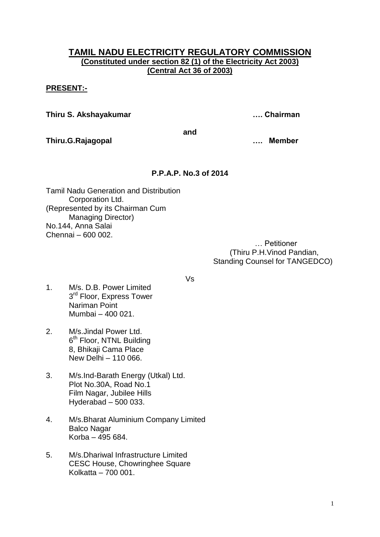## **TAMIL NADU ELECTRICITY REGULATORY COMMISSION (Constituted under section 82 (1) of the Electricity Act 2003) (Central Act 36 of 2003)**

## **PRESENT:-**

**Thiru S. Akshayakumar …. Chairman**

**and**

**Thiru.G.Rajagopal …. Member**

# **P.P.A.P. No.3 of 2014**

Tamil Nadu Generation and Distribution Corporation Ltd. (Represented by its Chairman Cum Managing Director) No.144, Anna Salai Chennai – 600 002.

> … Petitioner (Thiru P.H.Vinod Pandian, Standing Counsel for TANGEDCO)

Vs

- 1. M/s. D.B. Power Limited 3<sup>rd</sup> Floor, Express Tower Nariman Point Mumbai – 400 021.
- 2. M/s.Jindal Power Ltd. 6<sup>th</sup> Floor, NTNL Building 8, Bhikaji Cama Place New Delhi – 110 066.
- 3. M/s.Ind-Barath Energy (Utkal) Ltd. Plot No.30A, Road No.1 Film Nagar, Jubilee Hills Hyderabad – 500 033.
- 4. M/s.Bharat Aluminium Company Limited Balco Nagar Korba – 495 684.
- 5. M/s.Dhariwal Infrastructure Limited CESC House, Chowringhee Square Kolkatta – 700 001.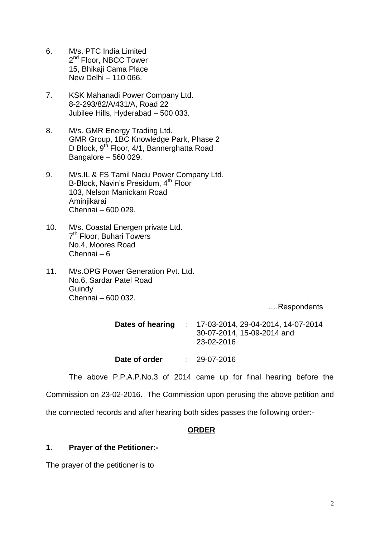- 6. M/s. PTC India Limited 2<sup>nd</sup> Floor, NBCC Tower 15, Bhikaji Cama Place New Delhi – 110 066.
- 7. KSK Mahanadi Power Company Ltd. 8-2-293/82/A/431/A, Road 22 Jubilee Hills, Hyderabad – 500 033.
- 8. M/s. GMR Energy Trading Ltd. GMR Group, 1BC Knowledge Park, Phase 2 D Block, 9<sup>th</sup> Floor, 4/1, Bannerghatta Road Bangalore – 560 029.
- 9. M/s.IL & FS Tamil Nadu Power Company Ltd. B-Block, Navin's Presidum, 4<sup>th</sup> Floor 103, Nelson Manickam Road Aminjikarai Chennai – 600 029.
- 10. M/s. Coastal Energen private Ltd. 7<sup>th</sup> Floor, Buhari Towers No.4, Moores Road Chennai – 6
- 11. M/s.OPG Power Generation Pvt. Ltd. No.6, Sardar Patel Road **Guindy** Chennai – 600 032.

….Respondents

| Dates of hearing | $: 17-03-2014, 29-04-2014, 14-07-2014$ |
|------------------|----------------------------------------|
|                  | 30-07-2014, 15-09-2014 and             |
|                  | 23-02-2016                             |
|                  |                                        |

**Date of order** : 29-07-2016

The above P.P.A.P.No.3 of 2014 came up for final hearing before the

Commission on 23-02-2016. The Commission upon perusing the above petition and

the connected records and after hearing both sides passes the following order:-

## **ORDER**

## **1. Prayer of the Petitioner:-**

The prayer of the petitioner is to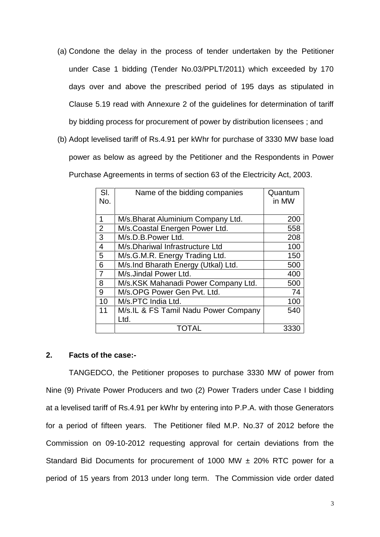- (a) Condone the delay in the process of tender undertaken by the Petitioner under Case 1 bidding (Tender No.03/PPLT/2011) which exceeded by 170 days over and above the prescribed period of 195 days as stipulated in Clause 5.19 read with Annexure 2 of the guidelines for determination of tariff by bidding process for procurement of power by distribution licensees ; and
- (b) Adopt levelised tariff of Rs.4.91 per kWhr for purchase of 3330 MW base load power as below as agreed by the Petitioner and the Respondents in Power Purchase Agreements in terms of section 63 of the Electricity Act, 2003.

| SI.            | Name of the bidding companies        | Quantum |
|----------------|--------------------------------------|---------|
| No.            |                                      | in MW   |
|                |                                      |         |
| 1              | M/s. Bharat Aluminium Company Ltd.   | 200     |
| $\overline{2}$ | M/s. Coastal Energen Power Ltd.      | 558     |
| 3              | M/s.D.B.Power Ltd.                   | 208     |
| 4              | M/s. Dhariwal Infrastructure Ltd     | 100     |
| 5              | M/s.G.M.R. Energy Trading Ltd.       | 150     |
| 6              | M/s.Ind Bharath Energy (Utkal) Ltd.  | 500     |
| $\overline{7}$ | M/s.Jindal Power Ltd.                | 400     |
| 8              | M/s.KSK Mahanadi Power Company Ltd.  | 500     |
| 9              | M/s.OPG Power Gen Pvt. Ltd.          | 74      |
| 10             | M/s.PTC India Ltd.                   | 100     |
| 11             | M/s.IL & FS Tamil Nadu Power Company | 540     |
|                | Ltd.                                 |         |
|                | TOTAL                                | 3330    |

## **2. Facts of the case:-**

TANGEDCO, the Petitioner proposes to purchase 3330 MW of power from Nine (9) Private Power Producers and two (2) Power Traders under Case I bidding at a levelised tariff of Rs.4.91 per kWhr by entering into P.P.A. with those Generators for a period of fifteen years. The Petitioner filed M.P. No.37 of 2012 before the Commission on 09-10-2012 requesting approval for certain deviations from the Standard Bid Documents for procurement of 1000 MW  $\pm$  20% RTC power for a period of 15 years from 2013 under long term. The Commission vide order dated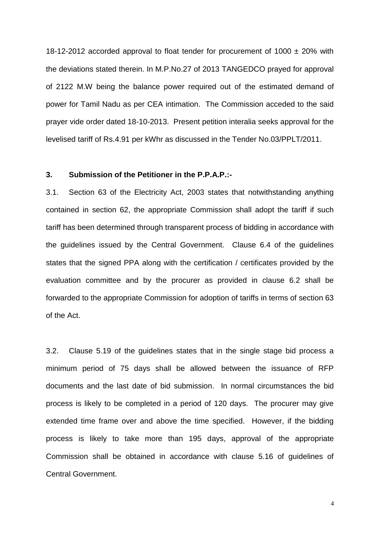18-12-2012 accorded approval to float tender for procurement of 1000  $\pm$  20% with the deviations stated therein. In M.P.No.27 of 2013 TANGEDCO prayed for approval of 2122 M.W being the balance power required out of the estimated demand of power for Tamil Nadu as per CEA intimation. The Commission acceded to the said prayer vide order dated 18-10-2013. Present petition interalia seeks approval for the levelised tariff of Rs.4.91 per kWhr as discussed in the Tender No.03/PPLT/2011.

#### **3. Submission of the Petitioner in the P.P.A.P.:-**

3.1. Section 63 of the Electricity Act, 2003 states that notwithstanding anything contained in section 62, the appropriate Commission shall adopt the tariff if such tariff has been determined through transparent process of bidding in accordance with the guidelines issued by the Central Government. Clause 6.4 of the guidelines states that the signed PPA along with the certification / certificates provided by the evaluation committee and by the procurer as provided in clause 6.2 shall be forwarded to the appropriate Commission for adoption of tariffs in terms of section 63 of the Act.

3.2. Clause 5.19 of the guidelines states that in the single stage bid process a minimum period of 75 days shall be allowed between the issuance of RFP documents and the last date of bid submission. In normal circumstances the bid process is likely to be completed in a period of 120 days. The procurer may give extended time frame over and above the time specified. However, if the bidding process is likely to take more than 195 days, approval of the appropriate Commission shall be obtained in accordance with clause 5.16 of guidelines of Central Government.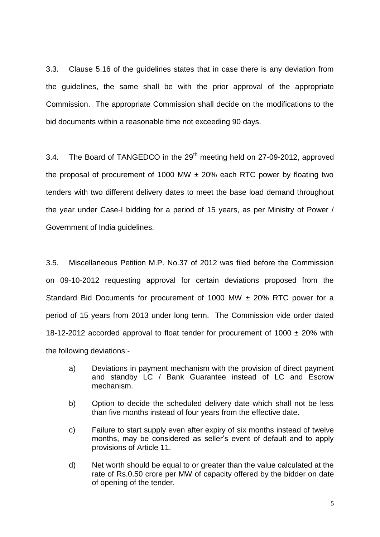3.3. Clause 5.16 of the guidelines states that in case there is any deviation from the guidelines, the same shall be with the prior approval of the appropriate Commission. The appropriate Commission shall decide on the modifications to the bid documents within a reasonable time not exceeding 90 days.

3.4. The Board of TANGEDCO in the  $29<sup>th</sup>$  meeting held on 27-09-2012, approved the proposal of procurement of 1000 MW  $\pm$  20% each RTC power by floating two tenders with two different delivery dates to meet the base load demand throughout the year under Case-I bidding for a period of 15 years, as per Ministry of Power / Government of India guidelines.

3.5. Miscellaneous Petition M.P. No.37 of 2012 was filed before the Commission on 09-10-2012 requesting approval for certain deviations proposed from the Standard Bid Documents for procurement of 1000 MW  $\pm$  20% RTC power for a period of 15 years from 2013 under long term. The Commission vide order dated 18-12-2012 accorded approval to float tender for procurement of 1000  $\pm$  20% with the following deviations:-

- a) Deviations in payment mechanism with the provision of direct payment and standby LC / Bank Guarantee instead of LC and Escrow mechanism.
- b) Option to decide the scheduled delivery date which shall not be less than five months instead of four years from the effective date.
- c) Failure to start supply even after expiry of six months instead of twelve months, may be considered as seller's event of default and to apply provisions of Article 11.
- d) Net worth should be equal to or greater than the value calculated at the rate of Rs.0.50 crore per MW of capacity offered by the bidder on date of opening of the tender.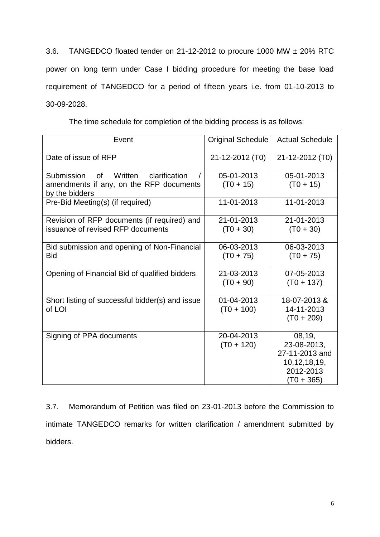3.6. TANGEDCO floated tender on 21-12-2012 to procure 1000 MW ± 20% RTC power on long term under Case I bidding procedure for meeting the base load requirement of TANGEDCO for a period of fifteen years i.e. from 01-10-2013 to 30-09-2028.

The time schedule for completion of the bidding process is as follows:

| Event                                                                                                  | <b>Original Schedule</b>   | <b>Actual Schedule</b>                                                                |
|--------------------------------------------------------------------------------------------------------|----------------------------|---------------------------------------------------------------------------------------|
| Date of issue of RFP                                                                                   | 21-12-2012 (T0)            | 21-12-2012 (T0)                                                                       |
| of Written<br>clarification<br>Submission<br>amendments if any, on the RFP documents<br>by the bidders | 05-01-2013<br>$(T0 + 15)$  | 05-01-2013<br>$(T0 + 15)$                                                             |
| Pre-Bid Meeting(s) (if required)                                                                       | 11-01-2013                 | 11-01-2013                                                                            |
| Revision of RFP documents (if required) and<br>issuance of revised RFP documents                       | 21-01-2013<br>$(T0 + 30)$  | 21-01-2013<br>$(T0 + 30)$                                                             |
| Bid submission and opening of Non-Financial<br><b>Bid</b>                                              | 06-03-2013<br>$(T0 + 75)$  | 06-03-2013<br>$(T0 + 75)$                                                             |
| Opening of Financial Bid of qualified bidders                                                          | 21-03-2013<br>$(T0 + 90)$  | 07-05-2013<br>$(T0 + 137)$                                                            |
| Short listing of successful bidder(s) and issue<br>of LOI                                              | 01-04-2013<br>$(T0 + 100)$ | 18-07-2013 &<br>14-11-2013<br>$(T0 + 209)$                                            |
| Signing of PPA documents                                                                               | 20-04-2013<br>$(T0 + 120)$ | 08, 19,<br>23-08-2013,<br>27-11-2013 and<br>10,12,18,19,<br>2012-2013<br>$(T0 + 365)$ |

3.7. Memorandum of Petition was filed on 23-01-2013 before the Commission to intimate TANGEDCO remarks for written clarification / amendment submitted by bidders.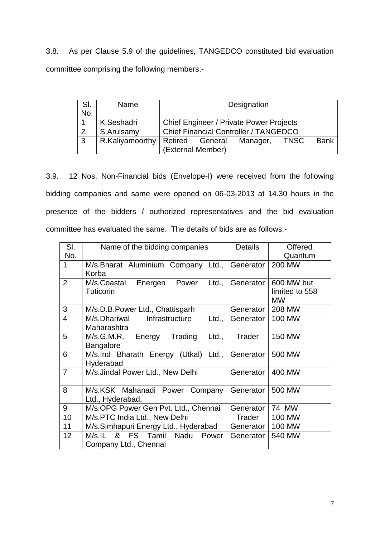3.8. As per Clause 5.9 of the guidelines, TANGEDCO constituted bid evaluation committee comprising the following members:-

| SI.            | Name            | Designation                                     |  |  |  |
|----------------|-----------------|-------------------------------------------------|--|--|--|
| No.            |                 |                                                 |  |  |  |
|                | K.Seshadri      | <b>Chief Engineer / Private Power Projects</b>  |  |  |  |
| $\overline{2}$ | S.Arulsamy      | <b>Chief Financial Controller / TANGEDCO</b>    |  |  |  |
| $\overline{3}$ | R.Kaliyamoorthy | <b>Bank</b><br>Retired General<br>Manager, TNSC |  |  |  |
|                |                 | (External Member)                               |  |  |  |

3.9. 12 Nos. Non-Financial bids (Envelope-I) were received from the following bidding companies and same were opened on 06-03-2013 at 14.30 hours in the presence of the bidders / authorized representatives and the bid evaluation committee has evaluated the same. The details of bids are as follows:-

| SI.            | Name of the bidding companies                                  | <b>Details</b>     | <b>Offered</b>                            |
|----------------|----------------------------------------------------------------|--------------------|-------------------------------------------|
| No.            |                                                                |                    | Quantum                                   |
| 1              | M/s.Bharat Aluminium Company Ltd.,  <br>Korba                  | Generator          | <b>200 MW</b>                             |
| $\overline{2}$ | M/s.Coastal<br>Energen<br>Power<br>Ltd.,<br>Tuticorin          | Generator          | 600 MW but<br>limited to 558<br><b>MW</b> |
| $\mathfrak{B}$ | M/s.D.B.Power Ltd., Chattisgarh                                | Generator          | <b>208 MW</b>                             |
| $\overline{4}$ | Infrastructure<br>M/s.Dhariwal<br>Ltd.,<br>Maharashtra         | Generator          | 100 MW                                    |
| 5              | Trading<br>M/s.G.M.R. Energy<br>Ltd.,<br><b>Bangalore</b>      | Trader             | <b>150 MW</b>                             |
| 6              | M/s.Ind Bharath Energy (Utkal) Ltd.,<br>Hyderabad              | Generator          | 500 MW                                    |
| $\overline{7}$ | M/s. Jindal Power Ltd., New Delhi                              | Generator          | 400 MW                                    |
| 8              | M/s.KSK Mahanadi Power Company<br>Ltd., Hyderabad.             | Generator          | 500 MW                                    |
| 9              | M/s.OPG Power Gen Pvt. Ltd., Chennai                           | Generator          | 74 MW                                     |
| 10             | M/s.PTC India Ltd., New Delhi                                  | Trader             | 100 MW                                    |
| 11             | M/s.Simhapuri Energy Ltd., Hyderabad                           | Generator   100 MW |                                           |
| 12             | & FS Tamil<br>Nadu<br>M/s.IL<br>Power<br>Company Ltd., Chennai | Generator          | 540 MW                                    |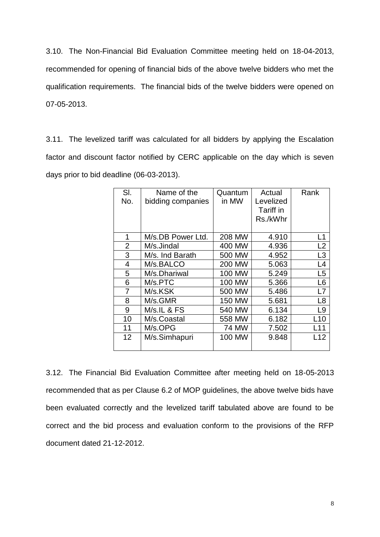3.10. The Non-Financial Bid Evaluation Committee meeting held on 18-04-2013, recommended for opening of financial bids of the above twelve bidders who met the qualification requirements. The financial bids of the twelve bidders were opened on 07-05-2013.

3.11. The levelized tariff was calculated for all bidders by applying the Escalation factor and discount factor notified by CERC applicable on the day which is seven days prior to bid deadline (06-03-2013).

| SI.             | Name of the       | Quantum       | Actual    | Rank           |
|-----------------|-------------------|---------------|-----------|----------------|
| No.             | bidding companies | in MW         | Levelized |                |
|                 |                   |               | Tariff in |                |
|                 |                   |               | Rs./kWhr  |                |
|                 |                   |               |           |                |
| 1               | M/s.DB Power Ltd. | <b>208 MW</b> | 4.910     | L1             |
| $\overline{2}$  | M/s.Jindal        | 400 MW        | 4.936     | L2             |
| 3               | M/s. Ind Barath   | 500 MW        | 4.952     | L <sub>3</sub> |
| 4               | M/s.BALCO         | <b>200 MW</b> | 5.063     | L4             |
| 5               | M/s.Dhariwal      | 100 MW        | 5.249     | L5             |
| 6               | M/s.PTC           | 100 MW        | 5.366     | L6             |
| $\overline{7}$  | M/s.KSK           | 500 MW        | 5.486     | L7             |
| 8               | M/s.GMR           | 150 MW        | 5.681     | L8             |
| 9               | M/s.IL & FS       | 540 MW        | 6.134     | L9             |
| 10              | M/s.Coastal       | 558 MW        | 6.182     | L10            |
| 11              | M/s.OPG           | 74 MW         | 7.502     | L11            |
| 12 <sup>2</sup> | M/s.Simhapuri     | 100 MW        | 9.848     | L12            |
|                 |                   |               |           |                |

3.12. The Financial Bid Evaluation Committee after meeting held on 18-05-2013 recommended that as per Clause 6.2 of MOP guidelines, the above twelve bids have been evaluated correctly and the levelized tariff tabulated above are found to be correct and the bid process and evaluation conform to the provisions of the RFP document dated 21-12-2012.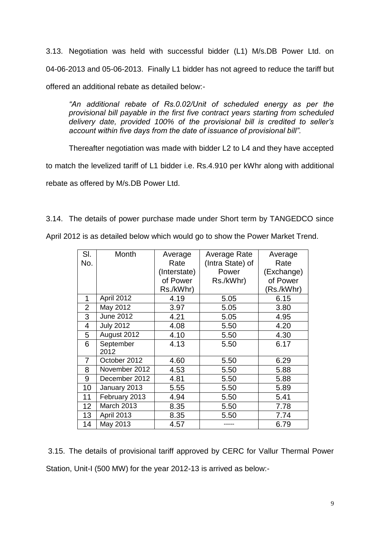3.13. Negotiation was held with successful bidder (L1) M/s.DB Power Ltd. on 04-06-2013 and 05-06-2013. Finally L1 bidder has not agreed to reduce the tariff but offered an additional rebate as detailed below:-

*"An additional rebate of Rs.0.02/Unit of scheduled energy as per the provisional bill payable in the first five contract years starting from scheduled delivery date, provided 100% of the provisional bill is credited to seller's account within five days from the date of issuance of provisional bill".*

Thereafter negotiation was made with bidder L2 to L4 and they have accepted

to match the levelized tariff of L1 bidder i.e. Rs.4.910 per kWhr along with additional

rebate as offered by M/s.DB Power Ltd.

3.14. The details of power purchase made under Short term by TANGEDCO since

April 2012 is as detailed below which would go to show the Power Market Trend.

| SI.            | Month             | Average      | Average Rate     | Average    |
|----------------|-------------------|--------------|------------------|------------|
| No.            |                   | Rate         | (Intra State) of | Rate       |
|                |                   | (Interstate) | Power            | (Exchange) |
|                |                   | of Power     | Rs./kWhr)        | of Power   |
|                |                   | Rs./kWhr)    |                  | Rs./kWhr)  |
| 1              | April 2012        | 4.19         | 5.05             | 6.15       |
| $\overline{2}$ | May 2012          | 3.97         | 5.05             | 3.80       |
| 3              | <b>June 2012</b>  | 4.21         | 5.05             | 4.95       |
| 4              | <b>July 2012</b>  | 4.08         | 5.50             | 4.20       |
| 5              | August 2012       | 4.10         | 5.50             | 4.30       |
| 6              | September         | 4.13         | 5.50             | 6.17       |
|                | 2012              |              |                  |            |
| 7              | October 2012      | 4.60         | 5.50             | 6.29       |
| 8              | November 2012     | 4.53         | 5.50             | 5.88       |
| 9              | December 2012     | 4.81         | 5.50             | 5.88       |
| 10             | January 2013      | 5.55         | 5.50             | 5.89       |
| 11             | February 2013     | 4.94         | 5.50             | 5.41       |
| 12             | <b>March 2013</b> | 8.35         | 5.50             | 7.78       |
| 13             | <b>April 2013</b> | 8.35         | 5.50             | 7.74       |
| 14             | May 2013          | 4.57         |                  | 6.79       |

3.15. The details of provisional tariff approved by CERC for Vallur Thermal Power Station, Unit-I (500 MW) for the year 2012-13 is arrived as below:-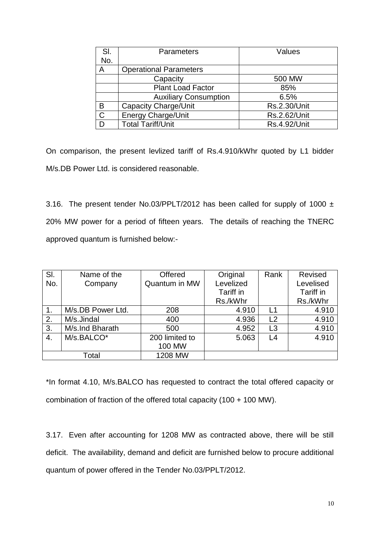| SI. | <b>Parameters</b>             | Values              |
|-----|-------------------------------|---------------------|
| No. |                               |                     |
| A   | <b>Operational Parameters</b> |                     |
|     | Capacity                      | 500 MW              |
|     | <b>Plant Load Factor</b>      | 85%                 |
|     | <b>Auxiliary Consumption</b>  | 6.5%                |
| B   | <b>Capacity Charge/Unit</b>   | <b>Rs.2.30/Unit</b> |
| C   | <b>Energy Charge/Unit</b>     | <b>Rs.2.62/Unit</b> |
| D   | <b>Total Tariff/Unit</b>      | <b>Rs.4.92/Unit</b> |

On comparison, the present levlized tariff of Rs.4.910/kWhr quoted by L1 bidder M/s.DB Power Ltd. is considered reasonable.

3.16. The present tender No.03/PPLT/2012 has been called for supply of 1000  $\pm$ 20% MW power for a period of fifteen years. The details of reaching the TNERC approved quantum is furnished below:-

| SI.            | Name of the       | Offered        | Original  | Rank           | Revised   |
|----------------|-------------------|----------------|-----------|----------------|-----------|
| No.            | Company           | Quantum in MW  | Levelized |                | Levelised |
|                |                   |                | Tariff in |                | Tariff in |
|                |                   |                | Rs./kWhr  |                | Rs./kWhr  |
| $\mathbf{1}$ . | M/s.DB Power Ltd. | 208            | 4.910     | L <sub>1</sub> | 4.910     |
| 2.             | M/s.Jindal        | 400            | 4.936     | L <sub>2</sub> | 4.910     |
| 3.             | M/s.Ind Bharath   | 500            | 4.952     | L3             | 4.910     |
| 4.             | M/s.BALCO*        | 200 limited to | 5.063     | L <sub>4</sub> | 4.910     |
|                |                   | 100 MW         |           |                |           |
|                | Total             | 1208 MW        |           |                |           |

\*In format 4.10, M/s.BALCO has requested to contract the total offered capacity or combination of fraction of the offered total capacity (100 + 100 MW).

3.17. Even after accounting for 1208 MW as contracted above, there will be still deficit. The availability, demand and deficit are furnished below to procure additional quantum of power offered in the Tender No.03/PPLT/2012.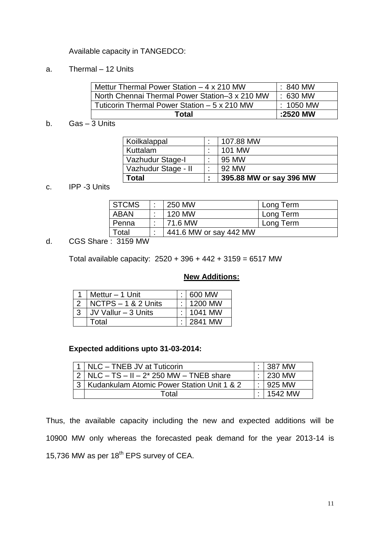Available capacity in TANGEDCO:

a. Thermal – 12 Units

| Mettur Thermal Power Station $-4 \times 210$ MW | $: 840$ MW    |
|-------------------------------------------------|---------------|
| North Chennai Thermal Power Station-3 x 210 MW  | $\div$ 630 MW |
| Tuticorin Thermal Power Station – 5 x 210 MW    | $: 1050$ MW   |
| Total                                           | :2520 MW      |

## b.  $Gas - 3 Units$

| Koilkalappal        | ٠      | 107.88 MW               |
|---------------------|--------|-------------------------|
| Kuttalam            | ٠      | 101 MW                  |
| Vazhudur Stage-I    | ٠<br>٠ | 95 MW                   |
| Vazhudur Stage - II | ٠      | 92 MW                   |
| Total               | ٠      | 395.88 MW or say 396 MW |

c. IPP -3 Units

| <b>STCMS</b> | 250 MW                 | Long Term |
|--------------|------------------------|-----------|
| <b>ABAN</b>  | 120 MW                 | Long Term |
| Penna        | 71.6 MW                | Long Term |
| Total        | 441.6 MW or say 442 MW |           |

d. CGS Share : 3159 MW

Total available capacity: 2520 + 396 + 442 + 3159 = 6517 MW

# **New Additions:**

| 1   Mettur - 1 Unit  | $: 1600$ MW |
|----------------------|-------------|
| NCTPS $-1$ & 2 Units | $: 1200$ MW |
| JV Vallur - 3 Units  | :   1041 MW |
| Total                | : 2841 MW   |

# **Expected additions upto 31-03-2014:**

| 1   NLC - TNEB JV at Tuticorin                       | 387 MW             |
|------------------------------------------------------|--------------------|
| $2$   NLC $-$ TS $-$ II $-$ 2* 250 MW $-$ TNEB share | $\parallel$ 230 MW |
| 3   Kudankulam Atomic Power Station Unit 1 & 2       | $: 1925$ MW        |
| Total                                                | 1542 MW            |

Thus, the available capacity including the new and expected additions will be 10900 MW only whereas the forecasted peak demand for the year 2013-14 is 15,736 MW as per 18<sup>th</sup> EPS survey of CEA.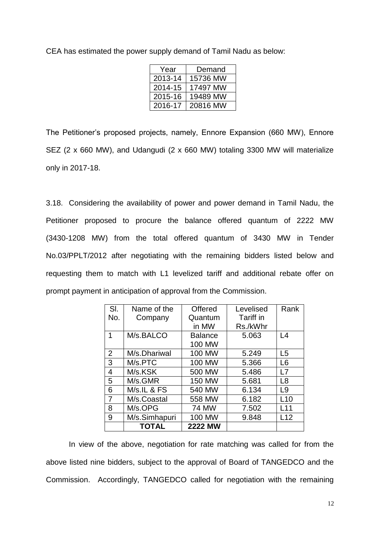CEA has estimated the power supply demand of Tamil Nadu as below:

| Year    | Demand   |
|---------|----------|
| 2013-14 | 15736 MW |
| 2014-15 | 17497 MW |
| 2015-16 | 19489 MW |
| 2016-17 | 20816 MW |

The Petitioner's proposed projects, namely, Ennore Expansion (660 MW), Ennore SEZ (2 x 660 MW), and Udangudi (2 x 660 MW) totaling 3300 MW will materialize only in 2017-18.

3.18. Considering the availability of power and power demand in Tamil Nadu, the Petitioner proposed to procure the balance offered quantum of 2222 MW (3430-1208 MW) from the total offered quantum of 3430 MW in Tender No.03/PPLT/2012 after negotiating with the remaining bidders listed below and requesting them to match with L1 levelized tariff and additional rebate offer on prompt payment in anticipation of approval from the Commission.

| SI.            | Name of the   | <b>Offered</b> | Levelised | Rank           |
|----------------|---------------|----------------|-----------|----------------|
| No.            | Company       | Quantum        | Tariff in |                |
|                |               | in MW          | Rs./kWhr  |                |
| 1              | M/s.BALCO     | <b>Balance</b> | 5.063     | L4             |
|                |               | <b>100 MW</b>  |           |                |
| $\overline{2}$ | M/s.Dhariwal  | <b>100 MW</b>  | 5.249     | L <sub>5</sub> |
| 3              | M/s.PTC       | <b>100 MW</b>  | 5.366     | L <sub>6</sub> |
| 4              | M/s.KSK       | 500 MW         | 5.486     | l 7            |
| 5              | M/s.GMR       | <b>150 MW</b>  | 5.681     | L <sub>8</sub> |
| 6              | M/s.IL & FS   | 540 MW         | 6.134     | L <sub>9</sub> |
| 7              | M/s.Coastal   | 558 MW         | 6.182     | L10            |
| 8              | M/s.OPG       | 74 MW          | 7.502     | L11            |
| 9              | M/s.Simhapuri | <b>100 MW</b>  | 9.848     | L12            |
|                | <b>TOTAL</b>  | <b>2222 MW</b> |           |                |

In view of the above, negotiation for rate matching was called for from the above listed nine bidders, subject to the approval of Board of TANGEDCO and the Commission. Accordingly, TANGEDCO called for negotiation with the remaining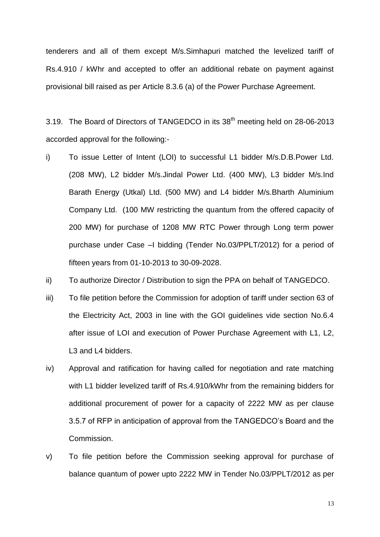tenderers and all of them except M/s.Simhapuri matched the levelized tariff of Rs.4.910 / kWhr and accepted to offer an additional rebate on payment against provisional bill raised as per Article 8.3.6 (a) of the Power Purchase Agreement.

3.19. The Board of Directors of TANGEDCO in its 38<sup>th</sup> meeting held on 28-06-2013 accorded approval for the following:-

- i) To issue Letter of Intent (LOI) to successful L1 bidder M/s.D.B.Power Ltd. (208 MW), L2 bidder M/s.Jindal Power Ltd. (400 MW), L3 bidder M/s.Ind Barath Energy (Utkal) Ltd. (500 MW) and L4 bidder M/s.Bharth Aluminium Company Ltd. (100 MW restricting the quantum from the offered capacity of 200 MW) for purchase of 1208 MW RTC Power through Long term power purchase under Case –I bidding (Tender No.03/PPLT/2012) for a period of fifteen years from 01-10-2013 to 30-09-2028.
- ii) To authorize Director / Distribution to sign the PPA on behalf of TANGEDCO.
- iii) To file petition before the Commission for adoption of tariff under section 63 of the Electricity Act, 2003 in line with the GOI guidelines vide section No.6.4 after issue of LOI and execution of Power Purchase Agreement with L1, L2, L3 and L4 bidders.
- iv) Approval and ratification for having called for negotiation and rate matching with L1 bidder levelized tariff of Rs.4.910/kWhr from the remaining bidders for additional procurement of power for a capacity of 2222 MW as per clause 3.5.7 of RFP in anticipation of approval from the TANGEDCO's Board and the Commission.
- v) To file petition before the Commission seeking approval for purchase of balance quantum of power upto 2222 MW in Tender No.03/PPLT/2012 as per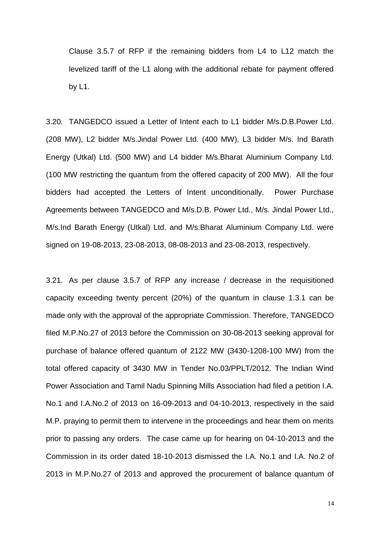Clause 3.5.7 of RFP if the remaining bidders from L4 to L12 match the levelized tariff of the L1 along with the additional rebate for payment offered by L1.

3.20. TANGEDCO issued a Letter of Intent each to L1 bidder M/s.D.B.Power Ltd. (208 MW), L2 bidder M/s.Jindal Power Ltd. (400 MW), L3 bidder M/s. Ind Barath Energy (Utkal) Ltd. (500 MW) and L4 bidder M/s.Bharat Aluminium Company Ltd. (100 MW restricting the quantum from the offered capacity of 200 MW). All the four bidders had accepted the Letters of Intent unconditionally. Power Purchase Agreements between TANGEDCO and M/s.D.B. Power Ltd., M/s. Jindal Power Ltd., M/s.Ind Barath Energy (Utkal) Ltd. and M/s.Bharat Aluminium Company Ltd. were signed on 19-08-2013, 23-08-2013, 08-08-2013 and 23-08-2013, respectively.

3.21. As per clause 3.5.7 of RFP any increase / decrease in the requisitioned capacity exceeding twenty percent (20%) of the quantum in clause 1.3.1 can be made only with the approval of the appropriate Commission. Therefore, TANGEDCO filed M.P.No.27 of 2013 before the Commission on 30-08-2013 seeking approval for purchase of balance offered quantum of 2122 MW (3430-1208-100 MW) from the total offered capacity of 3430 MW in Tender No.03/PPLT/2012. The Indian Wind Power Association and Tamil Nadu Spinning Mills Association had filed a petition I.A. No.1 and I.A.No.2 of 2013 on 16-09-2013 and 04-10-2013, respectively in the said M.P. praying to permit them to intervene in the proceedings and hear them on merits prior to passing any orders. The case came up for hearing on 04-10-2013 and the Commission in its order dated 18-10-2013 dismissed the I.A. No.1 and I.A. No.2 of 2013 in M.P.No.27 of 2013 and approved the procurement of balance quantum of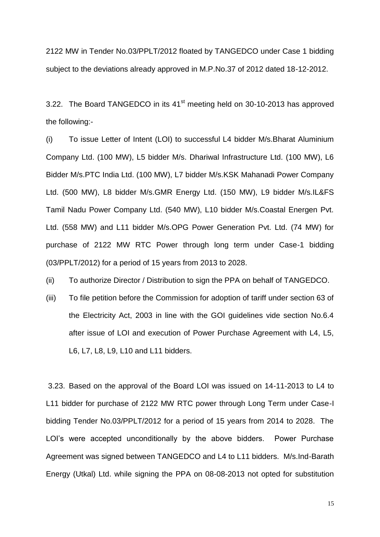2122 MW in Tender No.03/PPLT/2012 floated by TANGEDCO under Case 1 bidding subject to the deviations already approved in M.P.No.37 of 2012 dated 18-12-2012.

3.22. The Board TANGEDCO in its 41<sup>st</sup> meeting held on 30-10-2013 has approved the following:-

(i) To issue Letter of Intent (LOI) to successful L4 bidder M/s.Bharat Aluminium Company Ltd. (100 MW), L5 bidder M/s. Dhariwal Infrastructure Ltd. (100 MW), L6 Bidder M/s.PTC India Ltd. (100 MW), L7 bidder M/s.KSK Mahanadi Power Company Ltd. (500 MW), L8 bidder M/s.GMR Energy Ltd. (150 MW), L9 bidder M/s.IL&FS Tamil Nadu Power Company Ltd. (540 MW), L10 bidder M/s.Coastal Energen Pvt. Ltd. (558 MW) and L11 bidder M/s.OPG Power Generation Pvt. Ltd. (74 MW) for purchase of 2122 MW RTC Power through long term under Case-1 bidding (03/PPLT/2012) for a period of 15 years from 2013 to 2028.

(ii) To authorize Director / Distribution to sign the PPA on behalf of TANGEDCO.

(iii) To file petition before the Commission for adoption of tariff under section 63 of the Electricity Act, 2003 in line with the GOI guidelines vide section No.6.4 after issue of LOI and execution of Power Purchase Agreement with L4, L5, L6, L7, L8, L9, L10 and L11 bidders.

3.23. Based on the approval of the Board LOI was issued on 14-11-2013 to L4 to L11 bidder for purchase of 2122 MW RTC power through Long Term under Case-I bidding Tender No.03/PPLT/2012 for a period of 15 years from 2014 to 2028. The LOI's were accepted unconditionally by the above bidders. Power Purchase Agreement was signed between TANGEDCO and L4 to L11 bidders. M/s.Ind-Barath Energy (Utkal) Ltd. while signing the PPA on 08-08-2013 not opted for substitution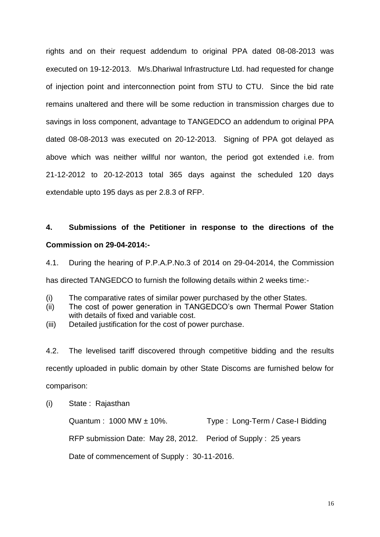rights and on their request addendum to original PPA dated 08-08-2013 was executed on 19-12-2013. M/s.Dhariwal Infrastructure Ltd. had requested for change of injection point and interconnection point from STU to CTU. Since the bid rate remains unaltered and there will be some reduction in transmission charges due to savings in loss component, advantage to TANGEDCO an addendum to original PPA dated 08-08-2013 was executed on 20-12-2013. Signing of PPA got delayed as above which was neither willful nor wanton, the period got extended i.e. from 21-12-2012 to 20-12-2013 total 365 days against the scheduled 120 days extendable upto 195 days as per 2.8.3 of RFP.

# **4. Submissions of the Petitioner in response to the directions of the**

# **Commission on 29-04-2014:-**

4.1. During the hearing of P.P.A.P.No.3 of 2014 on 29-04-2014, the Commission

has directed TANGEDCO to furnish the following details within 2 weeks time:-

- (i) The comparative rates of similar power purchased by the other States.
- (ii) The cost of power generation in TANGEDCO's own Thermal Power Station with details of fixed and variable cost.
- (iii) Detailed justification for the cost of power purchase.

4.2. The levelised tariff discovered through competitive bidding and the results recently uploaded in public domain by other State Discoms are furnished below for comparison:

(i) State : Rajasthan

Quantum : 1000 MW ± 10%. Type : Long-Term / Case-I Bidding RFP submission Date: May 28, 2012. Period of Supply : 25 years Date of commencement of Supply : 30-11-2016.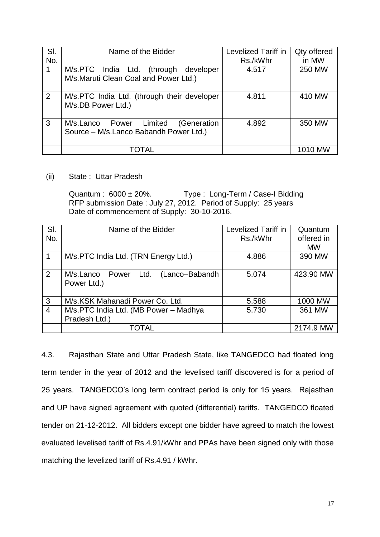| SI. | Name of the Bidder                                                               | Levelized Tariff in | Qty offered |
|-----|----------------------------------------------------------------------------------|---------------------|-------------|
| No. |                                                                                  | Rs./kWhr            | in MW       |
| 1   | M/s.PTC India Ltd. (through developer                                            | 4.517               | 250 MW      |
|     | M/s. Maruti Clean Coal and Power Ltd.)                                           |                     |             |
| 2   | M/s.PTC India Ltd. (through their developer<br>M/s.DB Power Ltd.)                | 4.811               | 410 MW      |
| 3   | M/s.Lanco Power Limited<br>(Generation<br>Source - M/s.Lanco Babandh Power Ltd.) | 4.892               | 350 MW      |
|     | TOTAL                                                                            |                     | 1010 MW     |

#### (ii) State : Uttar Pradesh

Quantum : 6000 ± 20%. Type : Long-Term / Case-I Bidding RFP submission Date : July 27, 2012. Period of Supply: 25 years Date of commencement of Supply: 30-10-2016.

| SI.            | Name of the Bidder                           | Levelized Tariff in | Quantum                 |
|----------------|----------------------------------------------|---------------------|-------------------------|
| No.            |                                              | Rs./kWhr            | offered in<br><b>MW</b> |
|                |                                              |                     |                         |
| 1              | M/s.PTC India Ltd. (TRN Energy Ltd.)         | 4.886               | 390 MW                  |
|                |                                              |                     |                         |
| 2              | M/s.Lanco<br>(Lanco-Babandh<br>Ltd.<br>Power | 5.074               | 423.90 MW               |
|                | Power Ltd.)                                  |                     |                         |
|                |                                              |                     |                         |
| 3              | M/s.KSK Mahanadi Power Co. Ltd.              | 5.588               | 1000 MW                 |
| $\overline{4}$ | M/s.PTC India Ltd. (MB Power - Madhya        | 5.730               | 361 MW                  |
|                | Pradesh Ltd.)                                |                     |                         |
|                | <b>TOTAL</b>                                 |                     | 2174.9 MW               |

4.3. Rajasthan State and Uttar Pradesh State, like TANGEDCO had floated long term tender in the year of 2012 and the levelised tariff discovered is for a period of 25 years. TANGEDCO's long term contract period is only for 15 years. Rajasthan and UP have signed agreement with quoted (differential) tariffs. TANGEDCO floated tender on 21-12-2012. All bidders except one bidder have agreed to match the lowest evaluated levelised tariff of Rs.4.91/kWhr and PPAs have been signed only with those matching the levelized tariff of Rs.4.91 / kWhr.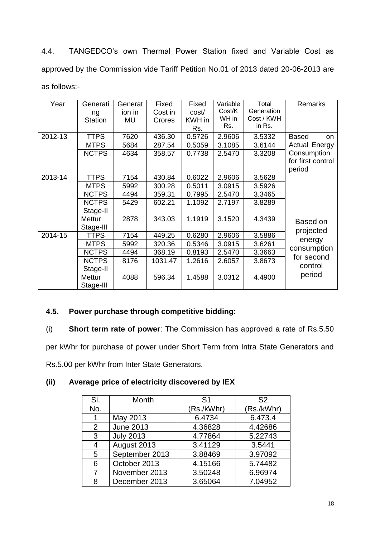4.4. TANGEDCO's own Thermal Power Station fixed and Variable Cost as approved by the Commission vide Tariff Petition No.01 of 2013 dated 20-06-2013 are as follows:-

| Year    | Generati       | Generat | Fixed   | Fixed  | Variable | Total      | Remarks              |
|---------|----------------|---------|---------|--------|----------|------------|----------------------|
|         | ng             | ion in  | Cost in | cost/  | Cost/K   | Generation |                      |
|         | <b>Station</b> | MU      | Crores  | KWH in | WH in    | Cost / KWH |                      |
|         |                |         |         | Rs.    | Rs.      | in Rs.     |                      |
| 2012-13 | <b>TTPS</b>    | 7620    | 436.30  | 0.5726 | 2.9606   | 3.5332     | <b>Based</b><br>on.  |
|         | <b>MTPS</b>    | 5684    | 287.54  | 0.5059 | 3.1085   | 3.6144     | <b>Actual Energy</b> |
|         | <b>NCTPS</b>   | 4634    | 358.57  | 0.7738 | 2.5470   | 3.3208     | Consumption          |
|         |                |         |         |        |          |            | for first control    |
|         |                |         |         |        |          |            | period               |
| 2013-14 | <b>TTPS</b>    | 7154    | 430.84  | 0.6022 | 2.9606   | 3.5628     |                      |
|         | <b>MTPS</b>    | 5992    | 300.28  | 0.5011 | 3.0915   | 3.5926     |                      |
|         | <b>NCTPS</b>   | 4494    | 359.31  | 0.7995 | 2.5470   | 3.3465     |                      |
|         | <b>NCTPS</b>   | 5429    | 602.21  | 1.1092 | 2.7197   | 3.8289     |                      |
|         | Stage-II       |         |         |        |          |            |                      |
|         | Mettur         | 2878    | 343.03  | 1.1919 | 3.1520   | 4.3439     | Based on             |
|         | Stage-III      |         |         |        |          |            | projected            |
| 2014-15 | TTPS           | 7154    | 449.25  | 0.6280 | 2.9606   | 3.5886     |                      |
|         | <b>MTPS</b>    | 5992    | 320.36  | 0.5346 | 3.0915   | 3.6261     | energy               |
|         | <b>NCTPS</b>   | 4494    | 368.19  | 0.8193 | 2.5470   | 3.3663     | consumption          |
|         | <b>NCTPS</b>   | 8176    | 1031.47 | 1.2616 | 2.6057   | 3.8673     | for second           |
|         | Stage-II       |         |         |        |          |            | control              |
|         | Mettur         | 4088    | 596.34  | 1.4588 | 3.0312   | 4.4900     | period               |
|         | Stage-III      |         |         |        |          |            |                      |

# **4.5. Power purchase through competitive bidding:**

(i) **Short term rate of power**: The Commission has approved a rate of Rs.5.50 per kWhr for purchase of power under Short Term from Intra State Generators and Rs.5.00 per kWhr from Inter State Generators.

# **(ii) Average price of electricity discovered by IEX**

| SI. | Month            | S <sub>1</sub> | S <sub>2</sub> |
|-----|------------------|----------------|----------------|
| No. |                  | (Rs./kWhr)     | (Rs./kWhr)     |
|     | May 2013         | 6.4734         | 6.473.4        |
| 2   | <b>June 2013</b> | 4.36828        | 4.42686        |
| 3   | <b>July 2013</b> | 4.77864        | 5.22743        |
| 4   | August 2013      | 3.41129        | 3.5441         |
| 5   | September 2013   | 3.88469        | 3.97092        |
| 6   | October 2013     | 4.15166        | 5.74482        |
| 7   | November 2013    | 3.50248        | 6.96974        |
| 8   | December 2013    | 3.65064        | 7.04952        |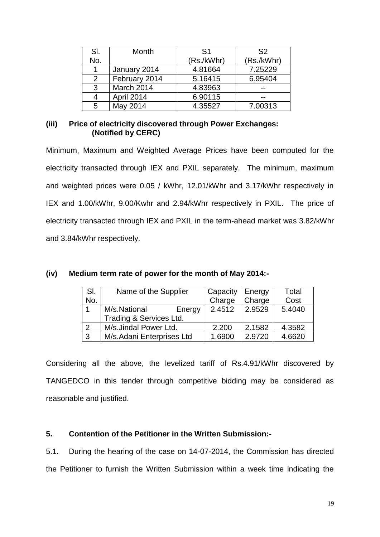| SI.            | <b>Month</b>  | S <sub>1</sub> | S <sub>2</sub> |
|----------------|---------------|----------------|----------------|
| No.            |               | (Rs./kWhr)     | (Rs./kWhr)     |
|                | January 2014  | 4.81664        | 7.25229        |
| $\overline{2}$ | February 2014 | 5.16415        | 6.95404        |
| 3              | March 2014    | 4.83963        |                |
|                | April 2014    | 6.90115        |                |
| 5              | May 2014      | 4.35527        | 7.00313        |

### **(iii) Price of electricity discovered through Power Exchanges: (Notified by CERC)**

Minimum, Maximum and Weighted Average Prices have been computed for the electricity transacted through IEX and PXIL separately. The minimum, maximum and weighted prices were 0.05 / kWhr, 12.01/kWhr and 3.17/kWhr respectively in IEX and 1.00/kWhr, 9.00/Kwhr and 2.94/kWhr respectively in PXIL. The price of electricity transacted through IEX and PXIL in the term-ahead market was 3.82/kWhr and 3.84/kWhr respectively.

| SI. | Name of the Supplier      | Capacity | Energy | Total  |
|-----|---------------------------|----------|--------|--------|
| No. |                           | Charge   | Charge | Cost   |
|     | M/s.National<br>Energy    | 2.4512   | 2.9529 | 5.4040 |
|     | Trading & Services Ltd.   |          |        |        |
| ႒   | M/s.Jindal Power Ltd.     | 2.200    | 2.1582 | 4.3582 |
| 3   | M/s.Adani Enterprises Ltd | 1.6900   | 2.9720 | 4.6620 |

# **(iv) Medium term rate of power for the month of May 2014:-**

Considering all the above, the levelized tariff of Rs.4.91/kWhr discovered by TANGEDCO in this tender through competitive bidding may be considered as reasonable and justified.

# **5. Contention of the Petitioner in the Written Submission:-**

5.1. During the hearing of the case on 14-07-2014, the Commission has directed the Petitioner to furnish the Written Submission within a week time indicating the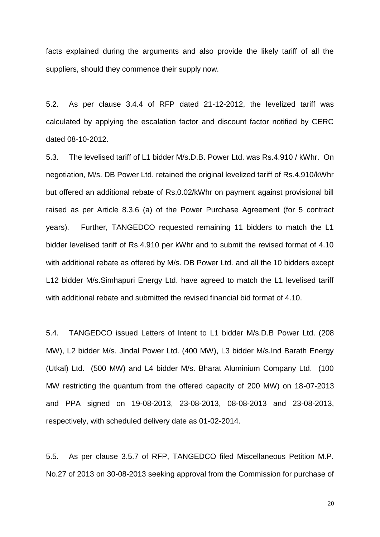facts explained during the arguments and also provide the likely tariff of all the suppliers, should they commence their supply now.

5.2. As per clause 3.4.4 of RFP dated 21-12-2012, the levelized tariff was calculated by applying the escalation factor and discount factor notified by CERC dated 08-10-2012.

5.3. The levelised tariff of L1 bidder M/s.D.B. Power Ltd. was Rs.4.910 / kWhr. On negotiation, M/s. DB Power Ltd. retained the original levelized tariff of Rs.4.910/kWhr but offered an additional rebate of Rs.0.02/kWhr on payment against provisional bill raised as per Article 8.3.6 (a) of the Power Purchase Agreement (for 5 contract years). Further, TANGEDCO requested remaining 11 bidders to match the L1 bidder levelised tariff of Rs.4.910 per kWhr and to submit the revised format of 4.10 with additional rebate as offered by M/s. DB Power Ltd. and all the 10 bidders except L12 bidder M/s.Simhapuri Energy Ltd. have agreed to match the L1 levelised tariff with additional rebate and submitted the revised financial bid format of 4.10.

5.4. TANGEDCO issued Letters of Intent to L1 bidder M/s.D.B Power Ltd. (208 MW), L2 bidder M/s. Jindal Power Ltd. (400 MW), L3 bidder M/s.Ind Barath Energy (Utkal) Ltd. (500 MW) and L4 bidder M/s. Bharat Aluminium Company Ltd. (100 MW restricting the quantum from the offered capacity of 200 MW) on 18-07-2013 and PPA signed on 19-08-2013, 23-08-2013, 08-08-2013 and 23-08-2013, respectively, with scheduled delivery date as 01-02-2014.

5.5. As per clause 3.5.7 of RFP, TANGEDCO filed Miscellaneous Petition M.P. No.27 of 2013 on 30-08-2013 seeking approval from the Commission for purchase of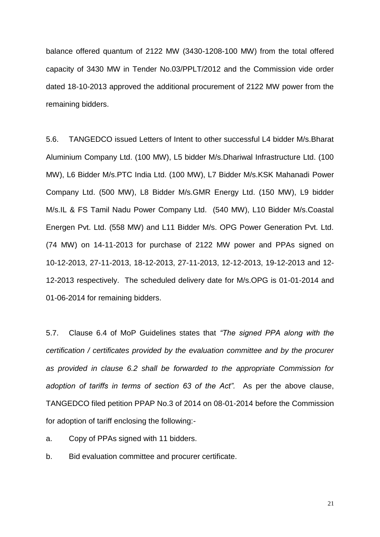balance offered quantum of 2122 MW (3430-1208-100 MW) from the total offered capacity of 3430 MW in Tender No.03/PPLT/2012 and the Commission vide order dated 18-10-2013 approved the additional procurement of 2122 MW power from the remaining bidders.

5.6. TANGEDCO issued Letters of Intent to other successful L4 bidder M/s.Bharat Aluminium Company Ltd. (100 MW), L5 bidder M/s.Dhariwal Infrastructure Ltd. (100 MW), L6 Bidder M/s.PTC India Ltd. (100 MW), L7 Bidder M/s.KSK Mahanadi Power Company Ltd. (500 MW), L8 Bidder M/s.GMR Energy Ltd. (150 MW), L9 bidder M/s.IL & FS Tamil Nadu Power Company Ltd. (540 MW), L10 Bidder M/s.Coastal Energen Pvt. Ltd. (558 MW) and L11 Bidder M/s. OPG Power Generation Pvt. Ltd. (74 MW) on 14-11-2013 for purchase of 2122 MW power and PPAs signed on 10-12-2013, 27-11-2013, 18-12-2013, 27-11-2013, 12-12-2013, 19-12-2013 and 12- 12-2013 respectively. The scheduled delivery date for M/s.OPG is 01-01-2014 and 01-06-2014 for remaining bidders.

5.7. Clause 6.4 of MoP Guidelines states that *"The signed PPA along with the certification / certificates provided by the evaluation committee and by the procurer as provided in clause 6.2 shall be forwarded to the appropriate Commission for adoption of tariffs in terms of section 63 of the Act".* As per the above clause, TANGEDCO filed petition PPAP No.3 of 2014 on 08-01-2014 before the Commission for adoption of tariff enclosing the following:-

a. Copy of PPAs signed with 11 bidders.

b. Bid evaluation committee and procurer certificate.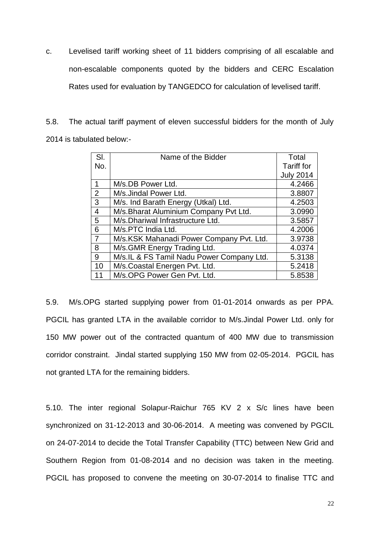c. Levelised tariff working sheet of 11 bidders comprising of all escalable and non-escalable components quoted by the bidders and CERC Escalation Rates used for evaluation by TANGEDCO for calculation of levelised tariff.

5.8. The actual tariff payment of eleven successful bidders for the month of July 2014 is tabulated below:-

| SI.            | Name of the Bidder                        | Total             |
|----------------|-------------------------------------------|-------------------|
| No.            |                                           | <b>Tariff for</b> |
|                |                                           | <b>July 2014</b>  |
| 1              | M/s.DB Power Ltd.                         | 4.2466            |
| $\overline{2}$ | M/s. Jindal Power Ltd.                    | 3.8807            |
| 3              | M/s. Ind Barath Energy (Utkal) Ltd.       | 4.2503            |
| 4              | M/s.Bharat Aluminium Company Pvt Ltd.     | 3.0990            |
| 5              | M/s. Dhariwal Infrastructure Ltd.         | 3.5857            |
| 6              | M/s.PTC India Ltd.                        | 4.2006            |
| $\overline{7}$ | M/s.KSK Mahanadi Power Company Pvt. Ltd.  | 3.9738            |
| 8              | M/s.GMR Energy Trading Ltd.               | 4.0374            |
| 9              | M/s.IL & FS Tamil Nadu Power Company Ltd. | 5.3138            |
| 10             | M/s. Coastal Energen Pvt. Ltd.            | 5.2418            |
| 11             | M/s.OPG Power Gen Pvt. Ltd.               | 5.8538            |

5.9. M/s.OPG started supplying power from 01-01-2014 onwards as per PPA. PGCIL has granted LTA in the available corridor to M/s.Jindal Power Ltd. only for 150 MW power out of the contracted quantum of 400 MW due to transmission corridor constraint. Jindal started supplying 150 MW from 02-05-2014. PGCIL has not granted LTA for the remaining bidders.

5.10. The inter regional Solapur-Raichur 765 KV 2 x S/c lines have been synchronized on 31-12-2013 and 30-06-2014. A meeting was convened by PGCIL on 24-07-2014 to decide the Total Transfer Capability (TTC) between New Grid and Southern Region from 01-08-2014 and no decision was taken in the meeting. PGCIL has proposed to convene the meeting on 30-07-2014 to finalise TTC and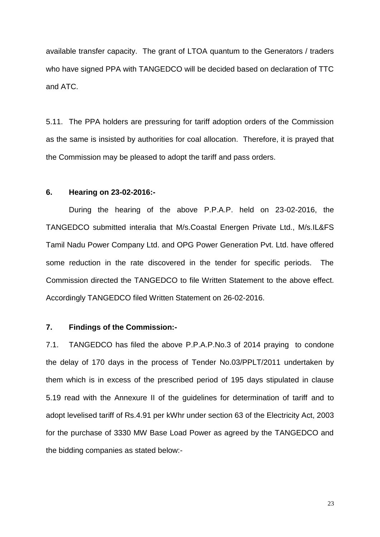available transfer capacity. The grant of LTOA quantum to the Generators / traders who have signed PPA with TANGEDCO will be decided based on declaration of TTC and ATC.

5.11. The PPA holders are pressuring for tariff adoption orders of the Commission as the same is insisted by authorities for coal allocation. Therefore, it is prayed that the Commission may be pleased to adopt the tariff and pass orders.

## **6. Hearing on 23-02-2016:-**

During the hearing of the above P.P.A.P. held on 23-02-2016, the TANGEDCO submitted interalia that M/s.Coastal Energen Private Ltd., M/s.IL&FS Tamil Nadu Power Company Ltd. and OPG Power Generation Pvt. Ltd. have offered some reduction in the rate discovered in the tender for specific periods. The Commission directed the TANGEDCO to file Written Statement to the above effect. Accordingly TANGEDCO filed Written Statement on 26-02-2016.

#### **7. Findings of the Commission:-**

7.1. TANGEDCO has filed the above P.P.A.P.No.3 of 2014 praying to condone the delay of 170 days in the process of Tender No.03/PPLT/2011 undertaken by them which is in excess of the prescribed period of 195 days stipulated in clause 5.19 read with the Annexure II of the guidelines for determination of tariff and to adopt levelised tariff of Rs.4.91 per kWhr under section 63 of the Electricity Act, 2003 for the purchase of 3330 MW Base Load Power as agreed by the TANGEDCO and the bidding companies as stated below:-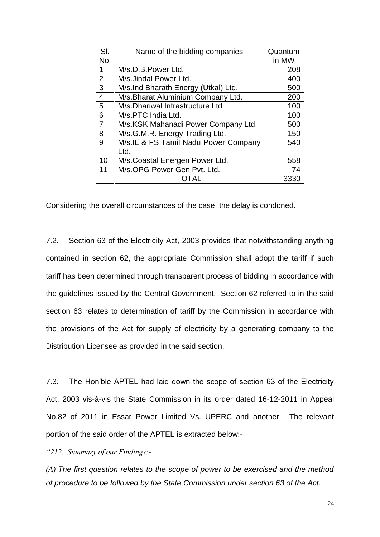| SI.            | Name of the bidding companies        | Quantum |
|----------------|--------------------------------------|---------|
| No.            |                                      | in MW   |
| 1              | M/s.D.B.Power Ltd.                   | 208     |
| $\overline{2}$ | M/s. Jindal Power Ltd.               | 400     |
| 3              | M/s. Ind Bharath Energy (Utkal) Ltd. | 500     |
| 4              | M/s. Bharat Aluminium Company Ltd.   | 200     |
| 5              | M/s.Dhariwal Infrastructure Ltd      | 100     |
| 6              | M/s.PTC India Ltd.                   | 100     |
| $\overline{7}$ | M/s.KSK Mahanadi Power Company Ltd.  | 500     |
| 8              | M/s.G.M.R. Energy Trading Ltd.       | 150     |
| 9              | M/s.IL & FS Tamil Nadu Power Company | 540     |
|                | Ltd.                                 |         |
| 10             | M/s. Coastal Energen Power Ltd.      | 558     |
| 11             | M/s.OPG Power Gen Pvt. Ltd.          | 74      |
|                | TOTAL                                | 3330    |

Considering the overall circumstances of the case, the delay is condoned.

7.2. Section 63 of the Electricity Act, 2003 provides that notwithstanding anything contained in section 62, the appropriate Commission shall adopt the tariff if such tariff has been determined through transparent process of bidding in accordance with the guidelines issued by the Central Government. Section 62 referred to in the said section 63 relates to determination of tariff by the Commission in accordance with the provisions of the Act for supply of electricity by a generating company to the Distribution Licensee as provided in the said section.

7.3. The Hon'ble APTEL had laid down the scope of section 63 of the Electricity Act, 2003 vis-à-vis the State Commission in its order dated 16-12-2011 in Appeal No.82 of 2011 in Essar Power Limited Vs. UPERC and another. The relevant portion of the said order of the APTEL is extracted below:-

*"212. Summary of our Findings:-*

*(A) The first question relates to the scope of power to be exercised and the method of procedure to be followed by the State Commission under section 63 of the Act.*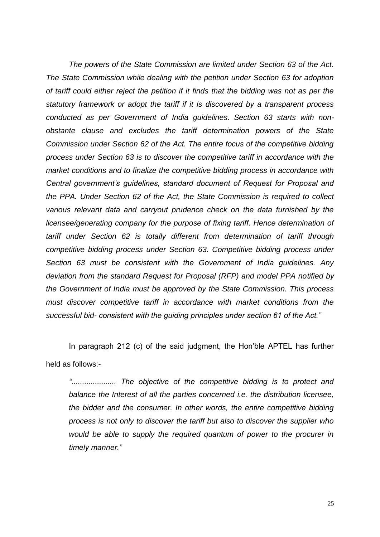*The powers of the State Commission are limited under Section 63 of the Act. The State Commission while dealing with the petition under Section 63 for adoption of tariff could either reject the petition if it finds that the bidding was not as per the statutory framework or adopt the tariff if it is discovered by a transparent process conducted as per Government of India guidelines. Section 63 starts with nonobstante clause and excludes the tariff determination powers of the State Commission under Section 62 of the Act. The entire focus of the competitive bidding process under Section 63 is to discover the competitive tariff in accordance with the market conditions and to finalize the competitive bidding process in accordance with Central government's guidelines, standard document of Request for Proposal and the PPA. Under Section 62 of the Act, the State Commission is required to collect various relevant data and carryout prudence check on the data furnished by the licensee/generating company for the purpose of fixing tariff. Hence determination of tariff under Section 62 is totally different from determination of tariff through competitive bidding process under Section 63. Competitive bidding process under Section 63 must be consistent with the Government of India guidelines. Any deviation from the standard Request for Proposal (RFP) and model PPA notified by the Government of India must be approved by the State Commission. This process must discover competitive tariff in accordance with market conditions from the successful bid- consistent with the guiding principles under section 61 of the Act."* 

In paragraph 212 (c) of the said judgment, the Hon'ble APTEL has further held as follows:-

*"..................... The objective of the competitive bidding is to protect and balance the Interest of all the parties concerned i.e. the distribution licensee, the bidder and the consumer. In other words, the entire competitive bidding process is not only to discover the tariff but also to discover the supplier who would be able to supply the required quantum of power to the procurer in timely manner."*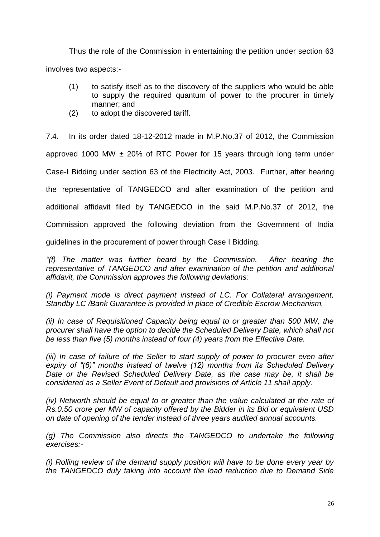Thus the role of the Commission in entertaining the petition under section 63 involves two aspects:-

- (1) to satisfy itself as to the discovery of the suppliers who would be able to supply the required quantum of power to the procurer in timely manner; and
- (2) to adopt the discovered tariff.

7.4. In its order dated 18-12-2012 made in M.P.No.37 of 2012, the Commission approved 1000 MW  $\pm$  20% of RTC Power for 15 years through long term under Case-I Bidding under section 63 of the Electricity Act, 2003. Further, after hearing the representative of TANGEDCO and after examination of the petition and additional affidavit filed by TANGEDCO in the said M.P.No.37 of 2012, the Commission approved the following deviation from the Government of India guidelines in the procurement of power through Case I Bidding.

*"(f) The matter was further heard by the Commission. After hearing the representative of TANGEDCO and after examination of the petition and additional affidavit, the Commission approves the following deviations:*

*(i) Payment mode is direct payment instead of LC. For Collateral arrangement, Standby LC /Bank Guarantee is provided in place of Credible Escrow Mechanism.*

*(ii) In case of Requisitioned Capacity being equal to or greater than 500 MW, the procurer shall have the option to decide the Scheduled Delivery Date, which shall not be less than five (5) months instead of four (4) years from the Effective Date.*

*(iii) In case of failure of the Seller to start supply of power to procurer even after expiry of "(6)" months instead of twelve (12) months from its Scheduled Delivery Date or the Revised Scheduled Delivery Date, as the case may be, it shall be considered as a Seller Event of Default and provisions of Article 11 shall apply.*

*(iv)* Networth should be equal to or greater than the value calculated at the rate of *Rs.0.50 crore per MW of capacity offered by the Bidder in its Bid or equivalent USD on date of opening of the tender instead of three years audited annual accounts.*

*(g) The Commission also directs the TANGEDCO to undertake the following exercises:-*

*(i) Rolling review of the demand supply position will have to be done every year by the TANGEDCO duly taking into account the load reduction due to Demand Side*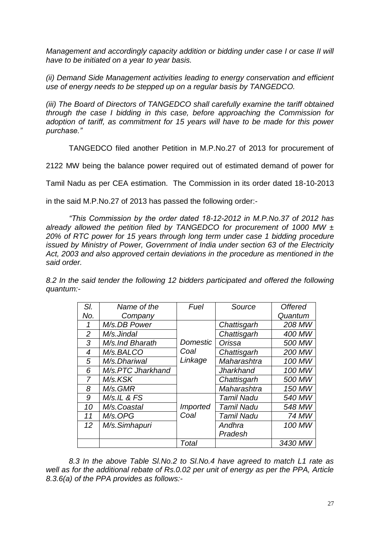*Management and accordingly capacity addition or bidding under case I or case II will have to be initiated on a year to year basis.*

*(ii) Demand Side Management activities leading to energy conservation and efficient use of energy needs to be stepped up on a regular basis by TANGEDCO.*

*(iii) The Board of Directors of TANGEDCO shall carefully examine the tariff obtained through the case I bidding in this case, before approaching the Commission for adoption of tariff, as commitment for 15 years will have to be made for this power purchase."*

TANGEDCO filed another Petition in M.P.No.27 of 2013 for procurement of

2122 MW being the balance power required out of estimated demand of power for

Tamil Nadu as per CEA estimation. The Commission in its order dated 18-10-2013

in the said M.P.No.27 of 2013 has passed the following order:-

*"This Commission by the order dated 18-12-2012 in M.P.No.37 of 2012 has already allowed the petition filed by TANGEDCO for procurement of 1000 MW ± 20% of RTC power for 15 years through long term under case 1 bidding procedure issued by Ministry of Power, Government of India under section 63 of the Electricity Act, 2003 and also approved certain deviations in the procedure as mentioned in the said order.*

*8.2 In the said tender the following 12 bidders participated and offered the following quantum:-*

| SI.            | Name of the       | Fuel            | Source            | <b>Offered</b> |
|----------------|-------------------|-----------------|-------------------|----------------|
| No.            | Company           |                 |                   | Quantum        |
| 1              | M/s.DB Power      |                 | Chattisgarh       | 208 MW         |
| $\overline{2}$ | M/s.Jindal        |                 | Chattisgarh       | 400 MW         |
| 3              | M/s.Ind Bharath   | Domestic        | Orissa            | 500 MW         |
| 4              | M/s.BALCO         | Coal<br>Linkage | Chattisgarh       | <b>200 MW</b>  |
| 5              | M/s.Dhariwal      |                 | Maharashtra       | 100 MW         |
| 6              | M/s.PTC Jharkhand |                 | <b>Jharkhand</b>  | 100 MW         |
| 7              | M/s.KSK           |                 | Chattisgarh       | 500 MW         |
| 8              | M/s.GMR           |                 | Maharashtra       | 150 MW         |
| 9              | $M/s$ . IL & $FS$ |                 | <b>Tamil Nadu</b> | 540 MW         |
| 10             | M/s.Coastal       | <b>Imported</b> | <b>Tamil Nadu</b> | 548 MW         |
| 11             | M/s.OPG           | Coal            | <b>Tamil Nadu</b> | <b>74 MW</b>   |
| 12             | M/s.Simhapuri     |                 | Andhra            | 100 MW         |
|                |                   |                 | Pradesh           |                |
|                |                   | Total           |                   | 3430 MW        |

*8.3 In the above Table Sl.No.2 to Sl.No.4 have agreed to match L1 rate as well as for the additional rebate of Rs.0.02 per unit of energy as per the PPA, Article 8.3.6(a) of the PPA provides as follows:-*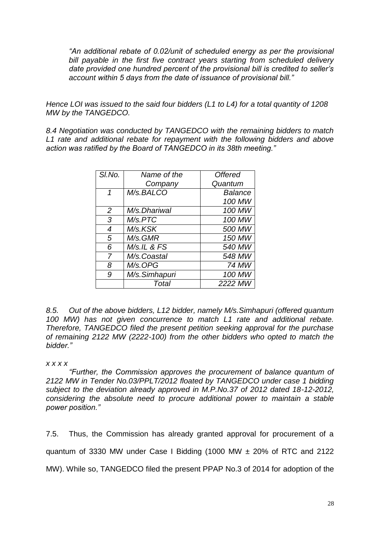*"An additional rebate of 0.02/unit of scheduled energy as per the provisional*  bill payable in the first five contract years starting from scheduled delivery *date provided one hundred percent of the provisional bill is credited to seller's account within 5 days from the date of issuance of provisional bill."*

*Hence LOI was issued to the said four bidders (L1 to L4) for a total quantity of 1208 MW by the TANGEDCO.*

*8.4 Negotiation was conducted by TANGEDCO with the remaining bidders to match L1 rate and additional rebate for repayment with the following bidders and above action was ratified by the Board of TANGEDCO in its 38th meeting."*

| SI.No.           | Name of the      | <b>Offered</b> |
|------------------|------------------|----------------|
|                  | Company          | Quantum        |
| 1                | M/s.BALCO        | <b>Balance</b> |
|                  |                  | 100 MW         |
| 2                | M/s.Dhariwal     | 100 MW         |
| 3                | M/s.PTC          | 100 MW         |
| $\boldsymbol{4}$ | M/s.KSK          | 500 MW         |
| 5                | M/s.GMR          | 150 MW         |
| 6                | $M/s$ .IL & $FS$ | 540 MW         |
| 7                | M/s.Coastal      | 548 MW         |
| 8                | $M/s$ . OPG      | 74 MW          |
| 9                | M/s.Simhapuri    | 100 MW         |
|                  | Total            | 2222 MW        |

*8.5. Out of the above bidders, L12 bidder, namely M/s.Simhapuri (offered quantum 100 MW) has not given concurrence to match L1 rate and additional rebate. Therefore, TANGEDCO filed the present petition seeking approval for the purchase of remaining 2122 MW (2222-100) from the other bidders who opted to match the bidder."*

#### *x x x x*

*"Further, the Commission approves the procurement of balance quantum of 2122 MW in Tender No.03/PPLT/2012 floated by TANGEDCO under case 1 bidding subject to the deviation already approved in M.P.No.37 of 2012 dated 18-12-2012, considering the absolute need to procure additional power to maintain a stable power position."*

7.5. Thus, the Commission has already granted approval for procurement of a quantum of 3330 MW under Case I Bidding (1000 MW  $\pm$  20% of RTC and 2122 MW). While so, TANGEDCO filed the present PPAP No.3 of 2014 for adoption of the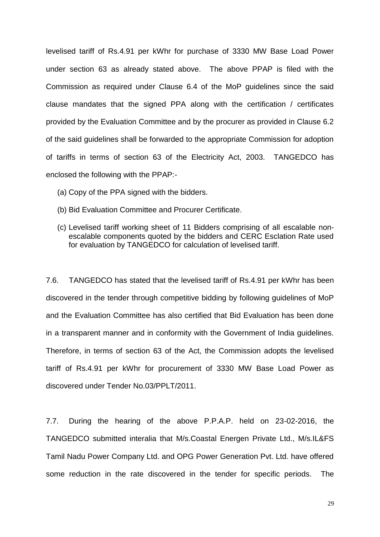levelised tariff of Rs.4.91 per kWhr for purchase of 3330 MW Base Load Power under section 63 as already stated above. The above PPAP is filed with the Commission as required under Clause 6.4 of the MoP guidelines since the said clause mandates that the signed PPA along with the certification / certificates provided by the Evaluation Committee and by the procurer as provided in Clause 6.2 of the said guidelines shall be forwarded to the appropriate Commission for adoption of tariffs in terms of section 63 of the Electricity Act, 2003. TANGEDCO has enclosed the following with the PPAP:-

- (a) Copy of the PPA signed with the bidders.
- (b) Bid Evaluation Committee and Procurer Certificate.
- (c) Levelised tariff working sheet of 11 Bidders comprising of all escalable nonescalable components quoted by the bidders and CERC Esclation Rate used for evaluation by TANGEDCO for calculation of levelised tariff.

7.6. TANGEDCO has stated that the levelised tariff of Rs.4.91 per kWhr has been discovered in the tender through competitive bidding by following guidelines of MoP and the Evaluation Committee has also certified that Bid Evaluation has been done in a transparent manner and in conformity with the Government of India guidelines. Therefore, in terms of section 63 of the Act, the Commission adopts the levelised tariff of Rs.4.91 per kWhr for procurement of 3330 MW Base Load Power as discovered under Tender No.03/PPLT/2011.

7.7. During the hearing of the above P.P.A.P. held on 23-02-2016, the TANGEDCO submitted interalia that M/s.Coastal Energen Private Ltd., M/s.IL&FS Tamil Nadu Power Company Ltd. and OPG Power Generation Pvt. Ltd. have offered some reduction in the rate discovered in the tender for specific periods. The